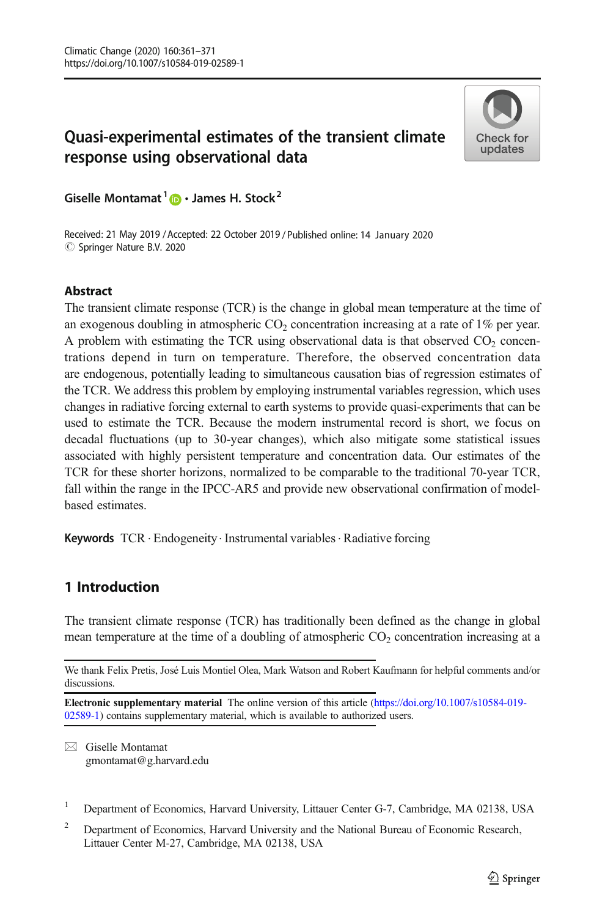# Quasi-experimental estimates of the transient climate response using observational data



Giselle Montamat<sup>1</sup>  $\bullet$  · James H. Stock<sup>2</sup>

Received: 21 May 2019 / Accepted: 22 October 2019 / Published online: 14 January 2020  $\circledcirc$  Springer Nature B.V. 2020

#### Abstract

The transient climate response (TCR) is the change in global mean temperature at the time of an exogenous doubling in atmospheric  $CO<sub>2</sub>$  concentration increasing at a rate of 1% per year. A problem with estimating the TCR using observational data is that observed  $CO<sub>2</sub>$  concentrations depend in turn on temperature. Therefore, the observed concentration data are endogenous, potentially leading to simultaneous causation bias of regression estimates of the TCR. We address this problem by employing instrumental variables regression, which uses changes in radiative forcing external to earth systems to provide quasi-experiments that can be used to estimate the TCR. Because the modern instrumental record is short, we focus on decadal fluctuations (up to 30-year changes), which also mitigate some statistical issues associated with highly persistent temperature and concentration data. Our estimates of the TCR for these shorter horizons, normalized to be comparable to the traditional 70-year TCR, fall within the range in the IPCC-AR5 and provide new observational confirmation of modelbased estimates.

Keywords TCR · Endogeneity · Instrumental variables · Radiative forcing

# 1 Introduction

The transient climate response (TCR) has traditionally been defined as the change in global mean temperature at the time of a doubling of atmospheric  $CO<sub>2</sub>$  concentration increasing at a

Electronic supplementary material The online version of this article ([https://doi.org/10.1007/s10584-019-](https://doi.org/10.1007/s10584-019-02589-1) [02589-1\)](https://doi.org/10.1007/s10584-019-02589-1) contains supplementary material, which is available to authorized users.

 $\boxtimes$  Giselle Montamat [gmontamat@g.harvard.edu](mailto:gmontamat@g.harvard.edu)

<sup>1</sup> Department of Economics, Harvard University, Littauer Center G-7, Cambridge, MA 02138, USA

<sup>2</sup> Department of Economics, Harvard University and the National Bureau of Economic Research, Littauer Center M-27, Cambridge, MA 02138, USA

We thank Felix Pretis, José Luis Montiel Olea, Mark Watson and Robert Kaufmann for helpful comments and/or discussions.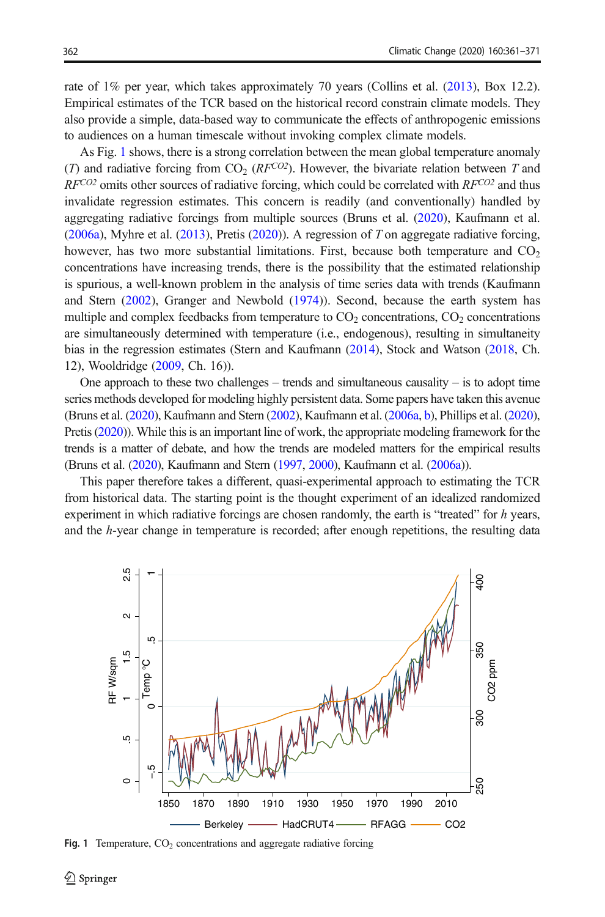rate of 1% per year, which takes approximately 70 years (Collins et al. [\(2013](#page-9-0)), Box 12.2). Empirical estimates of the TCR based on the historical record constrain climate models. They also provide a simple, data-based way to communicate the effects of anthropogenic emissions to audiences on a human timescale without invoking complex climate models.

As Fig. 1 shows, there is a strong correlation between the mean global temperature anomaly (T) and radiative forcing from CO<sub>2</sub> ( $RF^{CO2}$ ). However, the bivariate relation between T and  $RF^{CO2}$  omits other sources of radiative forcing, which could be correlated with  $RF^{CO2}$  and thus invalidate regression estimates. This concern is readily (and conventionally) handled by aggregating radiative forcings from multiple sources (Bruns et al. ([2020](#page-9-0)), Kaufmann et al.  $(2006a)$  $(2006a)$  $(2006a)$ , Myhre et al.  $(2013)$  $(2013)$  $(2013)$ , Pretis  $(2020)$ ). A regression of T on aggregate radiative forcing, however, has two more substantial limitations. First, because both temperature and  $CO<sub>2</sub>$ concentrations have increasing trends, there is the possibility that the estimated relationship is spurious, a well-known problem in the analysis of time series data with trends (Kaufmann and Stern [\(2002\)](#page-9-0), Granger and Newbold [\(1974\)](#page-9-0)). Second, because the earth system has multiple and complex feedbacks from temperature to  $CO<sub>2</sub>$  concentrations,  $CO<sub>2</sub>$  concentrations are simultaneously determined with temperature (i.e., endogenous), resulting in simultaneity bias in the regression estimates (Stern and Kaufmann [\(2014\)](#page-10-0), Stock and Watson [\(2018,](#page-10-0) Ch. 12), Wooldridge [\(2009,](#page-10-0) Ch. 16)).

One approach to these two challenges  $-$  trends and simultaneous causality  $-$  is to adopt time series methods developed for modeling highly persistent data. Some papers have taken this avenue (Bruns et al. [\(2020](#page-9-0)), Kaufmann and Stern ([2002\)](#page-9-0), Kaufmann et al. [\(2006a](#page-9-0), [b\)](#page-9-0), Phillips et al. [\(2020](#page-9-0)), Pretis [\(2020](#page-9-0))). While this is an important line of work, the appropriate modeling framework for the trends is a matter of debate, and how the trends are modeled matters for the empirical results (Bruns et al. [\(2020](#page-9-0)), Kaufmann and Stern ([1997,](#page-9-0) [2000](#page-9-0)), Kaufmann et al. [\(2006a\)](#page-9-0)).

This paper therefore takes a different, quasi-experimental approach to estimating the TCR from historical data. The starting point is the thought experiment of an idealized randomized experiment in which radiative forcings are chosen randomly, the earth is "treated" for h years, and the h-year change in temperature is recorded; after enough repetitions, the resulting data



Fig. 1 Temperature,  $CO<sub>2</sub>$  concentrations and aggregate radiative forcing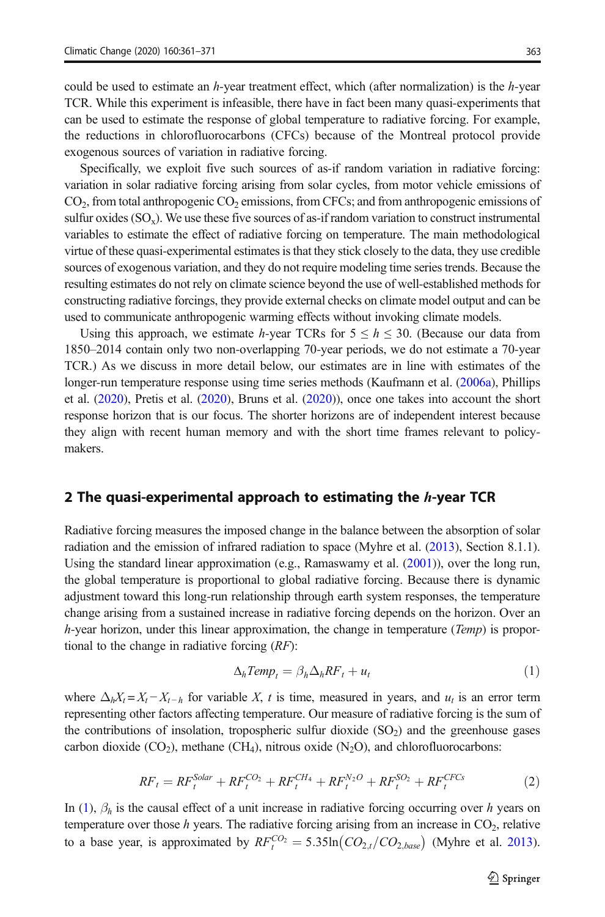<span id="page-2-0"></span>could be used to estimate an h-year treatment effect, which (after normalization) is the h-year TCR. While this experiment is infeasible, there have in fact been many quasi-experiments that can be used to estimate the response of global temperature to radiative forcing. For example, the reductions in chlorofluorocarbons (CFCs) because of the Montreal protocol provide exogenous sources of variation in radiative forcing.

Specifically, we exploit five such sources of as-if random variation in radiative forcing: variation in solar radiative forcing arising from solar cycles, from motor vehicle emissions of  $CO<sub>2</sub>$ , from total anthropogenic  $CO<sub>2</sub>$  emissions, from CFCs; and from anthropogenic emissions of sulfur oxides  $(SO<sub>x</sub>)$ . We use these five sources of as-if random variation to construct instrumental variables to estimate the effect of radiative forcing on temperature. The main methodological virtue of these quasi-experimental estimates is that they stick closely to the data, they use credible sources of exogenous variation, and they do not require modeling time series trends. Because the resulting estimates do not rely on climate science beyond the use of well-established methods for constructing radiative forcings, they provide external checks on climate model output and can be used to communicate anthropogenic warming effects without invoking climate models.

Using this approach, we estimate h-year TCRs for  $5 \le h \le 30$ . (Because our data from 1850–2014 contain only two non-overlapping 70-year periods, we do not estimate a 70-year TCR.) As we discuss in more detail below, our estimates are in line with estimates of the longer-run temperature response using time series methods (Kaufmann et al. [\(2006a\)](#page-9-0), Phillips et al. [\(2020\)](#page-9-0), Pretis et al. [\(2020\)](#page-9-0), Bruns et al. ([2020](#page-9-0))), once one takes into account the short response horizon that is our focus. The shorter horizons are of independent interest because they align with recent human memory and with the short time frames relevant to policymakers.

#### 2 The quasi-experimental approach to estimating the  $h$ -year TCR

Radiative forcing measures the imposed change in the balance between the absorption of solar radiation and the emission of infrared radiation to space (Myhre et al. [\(2013\)](#page-9-0), Section 8.1.1). Using the standard linear approximation (e.g., Ramaswamy et al. ([2001](#page-9-0))), over the long run, the global temperature is proportional to global radiative forcing. Because there is dynamic adjustment toward this long-run relationship through earth system responses, the temperature change arising from a sustained increase in radiative forcing depends on the horizon. Over an h-year horizon, under this linear approximation, the change in temperature  $(Temp)$  is proportional to the change in radiative forcing  $(RF)$ :

$$
\Delta_h Temp_t = \beta_h \Delta_h RF_t + u_t \tag{1}
$$

where  $\Delta_h X_t = X_t - X_{t-h}$  for variable X, t is time, measured in years, and  $u_t$  is an error term representing other factors affecting temperature. Our measure of radiative forcing is the sum of the contributions of insolation, tropospheric sulfur dioxide  $(SO<sub>2</sub>)$  and the greenhouse gases carbon dioxide  $(CO_2)$ , methane  $(CH_4)$ , nitrous oxide  $(N_2O)$ , and chlorofluorocarbons:

$$
RF_t = RF_t^{Solar} + RF_t^{CO_2} + RF_t^{CH_4} + RF_t^{N_2O} + RF_t^{SO_2} + RF_t^{CFCs}
$$
 (2)

In (1),  $\beta_h$  is the causal effect of a unit increase in radiative forcing occurring over h years on temperature over those  $h$  years. The radiative forcing arising from an increase in  $CO<sub>2</sub>$ , relative to a base year, is approximated by  $RF_t^{CO_2} = 5.35 \ln(CO_{2,t}/CO_{2,base})$  (Myhre et al. [2013](#page-9-0)).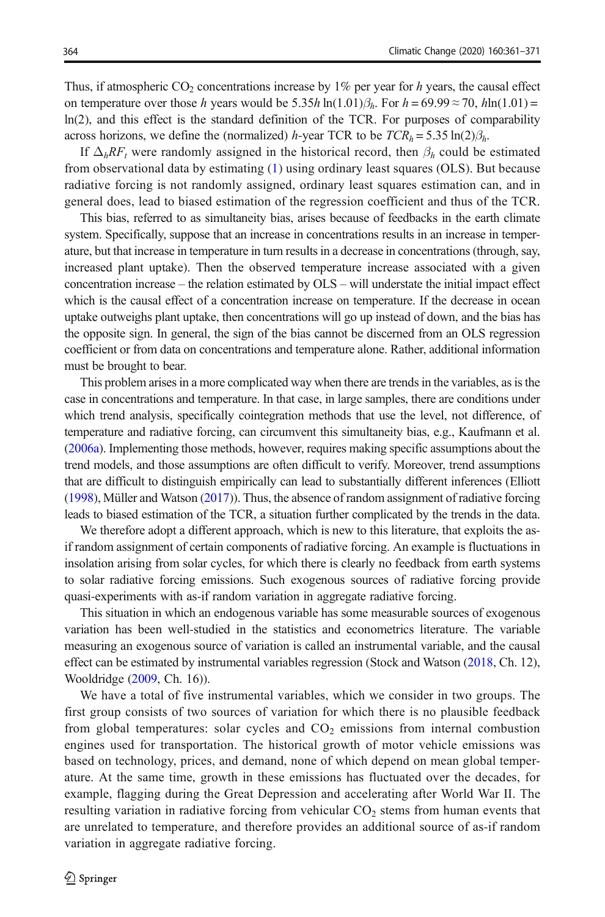Thus, if atmospheric  $CO_2$  concentrations increase by 1% per year for h years, the causal effect on temperature over those h years would be 5.35h ln(1.01) $\beta_h$ . For  $h = 69.99 \approx 70$ , hln(1.01) = ln(2), and this effect is the standard definition of the TCR. For purposes of comparability across horizons, we define the (normalized) h-year TCR to be  $TCR<sub>h</sub> = 5.35 \ln(2)\beta<sub>h</sub>$ .

If  $\Delta_h RF_t$  were randomly assigned in the historical record, then  $\beta_h$  could be estimated from observational data by estimating [\(1](#page-2-0)) using ordinary least squares (OLS). But because radiative forcing is not randomly assigned, ordinary least squares estimation can, and in general does, lead to biased estimation of the regression coefficient and thus of the TCR.

This bias, referred to as simultaneity bias, arises because of feedbacks in the earth climate system. Specifically, suppose that an increase in concentrations results in an increase in temperature, but that increase in temperature in turn results in a decrease in concentrations (through, say, increased plant uptake). Then the observed temperature increase associated with a given concentration increase – the relation estimated by OLS – will understate the initial impact effect which is the causal effect of a concentration increase on temperature. If the decrease in ocean uptake outweighs plant uptake, then concentrations will go up instead of down, and the bias has the opposite sign. In general, the sign of the bias cannot be discerned from an OLS regression coefficient or from data on concentrations and temperature alone. Rather, additional information must be brought to bear.

This problem arises in a more complicated way when there are trends in the variables, as is the case in concentrations and temperature. In that case, in large samples, there are conditions under which trend analysis, specifically cointegration methods that use the level, not difference, of temperature and radiative forcing, can circumvent this simultaneity bias, e.g., Kaufmann et al. ([2006a](#page-9-0)). Implementing those methods, however, requires making specific assumptions about the trend models, and those assumptions are often difficult to verify. Moreover, trend assumptions that are difficult to distinguish empirically can lead to substantially different inferences (Elliott ([1998\)](#page-9-0), Müller and Watson [\(2017\)](#page-9-0)). Thus, the absence of random assignment of radiative forcing leads to biased estimation of the TCR, a situation further complicated by the trends in the data.

We therefore adopt a different approach, which is new to this literature, that exploits the asif random assignment of certain components of radiative forcing. An example is fluctuations in insolation arising from solar cycles, for which there is clearly no feedback from earth systems to solar radiative forcing emissions. Such exogenous sources of radiative forcing provide quasi-experiments with as-if random variation in aggregate radiative forcing.

This situation in which an endogenous variable has some measurable sources of exogenous variation has been well-studied in the statistics and econometrics literature. The variable measuring an exogenous source of variation is called an instrumental variable, and the causal effect can be estimated by instrumental variables regression (Stock and Watson ([2018](#page-10-0), Ch. 12), Wooldridge ([2009](#page-10-0), Ch. 16)).

We have a total of five instrumental variables, which we consider in two groups. The first group consists of two sources of variation for which there is no plausible feedback from global temperatures: solar cycles and  $CO<sub>2</sub>$  emissions from internal combustion engines used for transportation. The historical growth of motor vehicle emissions was based on technology, prices, and demand, none of which depend on mean global temperature. At the same time, growth in these emissions has fluctuated over the decades, for example, flagging during the Great Depression and accelerating after World War II. The resulting variation in radiative forcing from vehicular  $CO<sub>2</sub>$  stems from human events that are unrelated to temperature, and therefore provides an additional source of as-if random variation in aggregate radiative forcing.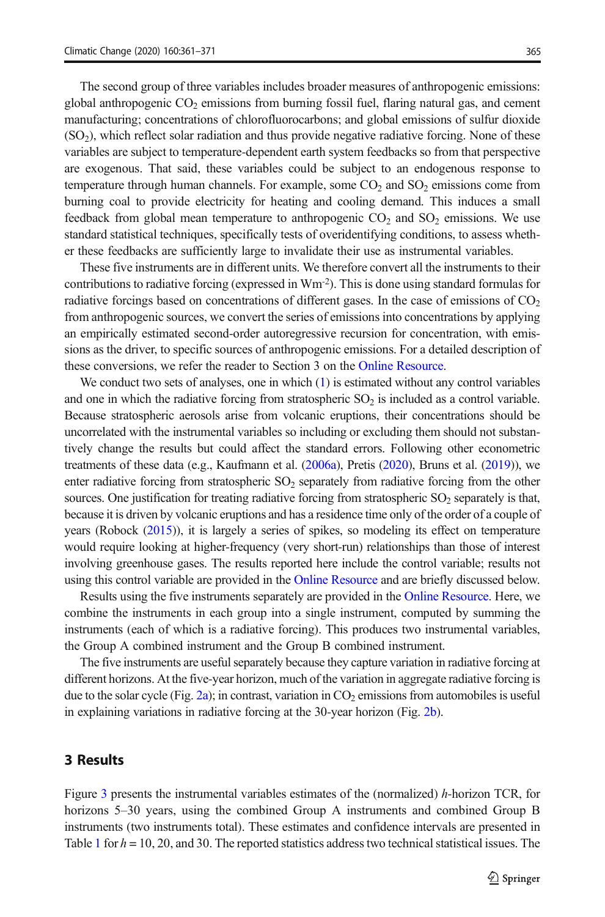The second group of three variables includes broader measures of anthropogenic emissions: global anthropogenic  $CO<sub>2</sub>$  emissions from burning fossil fuel, flaring natural gas, and cement manufacturing; concentrations of chlorofluorocarbons; and global emissions of sulfur dioxide  $(SO<sub>2</sub>)$ , which reflect solar radiation and thus provide negative radiative forcing. None of these variables are subject to temperature-dependent earth system feedbacks so from that perspective are exogenous. That said, these variables could be subject to an endogenous response to temperature through human channels. For example, some  $CO<sub>2</sub>$  and  $SO<sub>2</sub>$  emissions come from burning coal to provide electricity for heating and cooling demand. This induces a small feedback from global mean temperature to anthropogenic  $CO<sub>2</sub>$  and  $SO<sub>2</sub>$  emissions. We use standard statistical techniques, specifically tests of overidentifying conditions, to assess whether these feedbacks are sufficiently large to invalidate their use as instrumental variables.

These five instruments are in different units. We therefore convert all the instruments to their contributions to radiative forcing (expressed in  $Wm<sup>2</sup>$ ). This is done using standard formulas for radiative forcings based on concentrations of different gases. In the case of emissions of  $CO<sub>2</sub>$ from anthropogenic sources, we convert the series of emissions into concentrations by applying an empirically estimated second-order autoregressive recursion for concentration, with emissions as the driver, to specific sources of anthropogenic emissions. For a detailed description of these conversions, we refer the reader to Section 3 on the Online Resource.

We conduct two sets of analyses, one in which [\(1\)](#page-2-0) is estimated without any control variables and one in which the radiative forcing from stratospheric  $SO<sub>2</sub>$  is included as a control variable. Because stratospheric aerosols arise from volcanic eruptions, their concentrations should be uncorrelated with the instrumental variables so including or excluding them should not substantively change the results but could affect the standard errors. Following other econometric treatments of these data (e.g., Kaufmann et al. [\(2006a](#page-9-0)), Pretis [\(2020\)](#page-9-0), Bruns et al. ([2019\)](#page-9-0)), we enter radiative forcing from stratospheric  $SO_2$  separately from radiative forcing from the other sources. One justification for treating radiative forcing from stratospheric  $SO_2$  separately is that, because it is driven by volcanic eruptions and has a residence time only of the order of a couple of years (Robock ([2015](#page-9-0))), it is largely a series of spikes, so modeling its effect on temperature would require looking at higher-frequency (very short-run) relationships than those of interest involving greenhouse gases. The results reported here include the control variable; results not using this control variable are provided in the Online Resource and are briefly discussed below.

Results using the five instruments separately are provided in the Online Resource. Here, we combine the instruments in each group into a single instrument, computed by summing the instruments (each of which is a radiative forcing). This produces two instrumental variables, the Group A combined instrument and the Group B combined instrument.

The five instruments are useful separately because they capture variation in radiative forcing at different horizons. At the five-year horizon, much of the variation in aggregate radiative forcing is due to the solar cycle (Fig. [2a](#page-5-0)); in contrast, variation in  $CO<sub>2</sub>$  emissions from automobiles is useful in explaining variations in radiative forcing at the 30-year horizon (Fig. [2b](#page-5-0)).

## 3 Results

Figure [3](#page-5-0) presents the instrumental variables estimates of the (normalized) h-horizon TCR, for horizons 5–30 years, using the combined Group A instruments and combined Group B instruments (two instruments total). These estimates and confidence intervals are presented in Table [1](#page-6-0) for  $h = 10, 20$ , and 30. The reported statistics address two technical statistical issues. The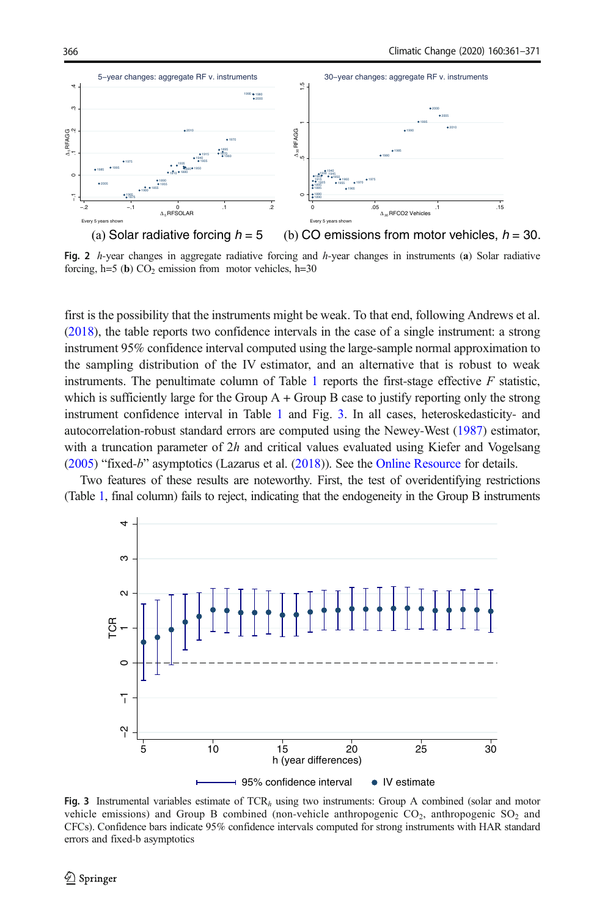<span id="page-5-0"></span>

Fig. 2 *h*-year changes in aggregate radiative forcing and *h*-year changes in instruments (a) Solar radiative forcing,  $h=5$  (b)  $CO<sub>2</sub>$  emission from motor vehicles,  $h=30$ 

first is the possibility that the instruments might be weak. To that end, following Andrews et al. ([2018](#page-8-0)), the table reports two confidence intervals in the case of a single instrument: a strong instrument 95% confidence interval computed using the large-sample normal approximation to the sampling distribution of the IV estimator, and an alternative that is robust to weak instruments. The penultimate column of Table [1](#page-6-0) reports the first-stage effective  $F$  statistic, which is sufficiently large for the Group  $A + G$ roup  $B$  case to justify reporting only the strong instrument confidence interval in Table [1](#page-6-0) and Fig. 3. In all cases, heteroskedasticity- and autocorrelation-robust standard errors are computed using the Newey-West [\(1987\)](#page-9-0) estimator, with a truncation parameter of 2h and critical values evaluated using Kiefer and Vogelsang ([2005](#page-9-0)) "fixed-b" asymptotics (Lazarus et al. ([2018](#page-9-0))). See the Online Resource for details.

Two features of these results are noteworthy. First, the test of overidentifying restrictions (Table [1](#page-6-0), final column) fails to reject, indicating that the endogeneity in the Group B instruments



Fig. 3 Instrumental variables estimate of  $TCR<sub>h</sub>$  using two instruments: Group A combined (solar and motor vehicle emissions) and Group B combined (non-vehicle anthropogenic  $CO<sub>2</sub>$ , anthropogenic  $SO<sub>2</sub>$  and CFCs). Confidence bars indicate 95% confidence intervals computed for strong instruments with HAR standard errors and fixed-b asymptotics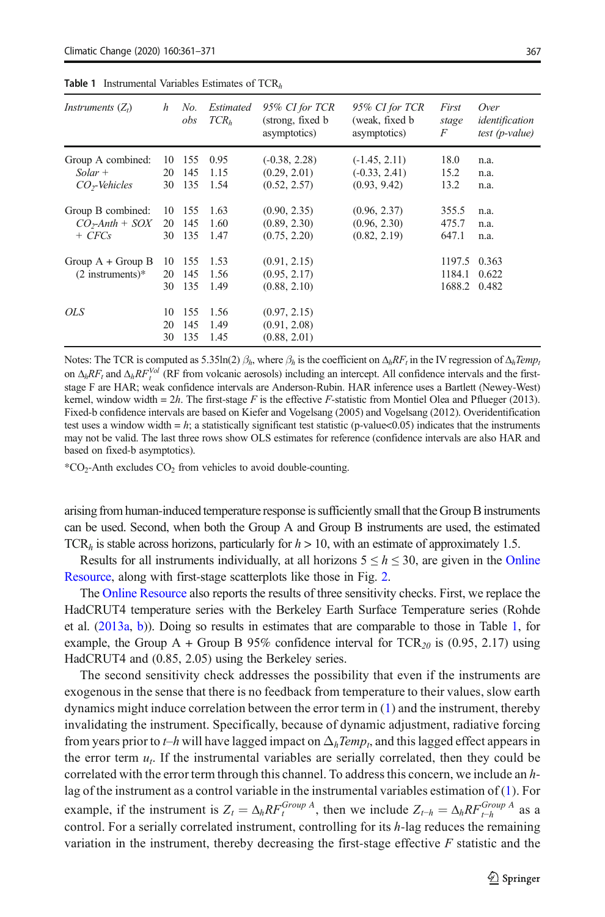| <i>Instruments</i> $(Z_t)$                          | h  | No.<br>obs | Estimated<br>TCR <sub>h</sub> | 95% CI for TCR<br>(strong, fixed b)<br>asymptotics) | 95% CI for TCR<br>(weak, fixed b)<br>asymptotics) | First<br>stage<br>F | Over<br>identification<br>$test(p-value)$ |
|-----------------------------------------------------|----|------------|-------------------------------|-----------------------------------------------------|---------------------------------------------------|---------------------|-------------------------------------------|
| Group A combined:<br>$Solar +$<br>$CO2$ -Vehicles   | 10 | 155        | 0.95                          | $(-0.38, 2.28)$                                     | $(-1.45, 2.11)$                                   | 18.0                | n.a.                                      |
|                                                     | 20 | 145        | 1.15                          | (0.29, 2.01)                                        | $(-0.33, 2.41)$                                   | 15.2                | n.a.                                      |
|                                                     | 30 | 135        | 1.54                          | (0.52, 2.57)                                        | (0.93, 9.42)                                      | 13.2                | n.a.                                      |
| Group B combined:<br>$CO2 - Anth + SOX$<br>$+$ CFCs | 10 | 155        | 1.63                          | (0.90, 2.35)                                        | (0.96, 2.37)                                      | 355.5               | n.a.                                      |
|                                                     | 20 | 145        | 1.60                          | (0.89, 2.30)                                        | (0.96, 2.30)                                      | 475.7               | n.a.                                      |
|                                                     | 30 | 135        | 1.47                          | (0.75, 2.20)                                        | (0.82, 2.19)                                      | 647.1               | n.a.                                      |
| Group $A + G$ roup $B$<br>$(2$ instruments)*        | 10 | 155        | 1.53                          | (0.91, 2.15)                                        |                                                   | 1197.5              | 0.363                                     |
|                                                     | 20 | 145        | 1.56                          | (0.95, 2.17)                                        |                                                   | 1184.1              | 0.622                                     |
|                                                     | 30 | 135        | 1.49                          | (0.88, 2.10)                                        |                                                   | 1688.2              | 0.482                                     |
| OLS                                                 | 10 | 155        | 1.56                          | (0.97, 2.15)                                        |                                                   |                     |                                           |
|                                                     | 20 | 145        | 1.49                          | (0.91, 2.08)                                        |                                                   |                     |                                           |
|                                                     | 30 | 135        | 1.45                          | (0.88, 2.01)                                        |                                                   |                     |                                           |

<span id="page-6-0"></span>**Table 1** Instrumental Variables Estimates of  $TCR<sub>h</sub>$ 

Notes: The TCR is computed as  $5.35\ln(2)$   $\beta_h$ , where  $\beta_h$  is the coefficient on  $\Delta_h RF_t$  in the IV regression of  $\Delta_hTemp_t$ on  $\Delta_h RF_t$  and  $\Delta_h RF_t^{Vol}$  (RF from volcanic aerosols) including an intercept. All confidence intervals and the firststage F are HAR; weak confidence intervals are Anderson-Rubin. HAR inference uses a Bartlett (Newey-West) kernel, window width =  $2h$ . The first-stage F is the effective F-statistic from Montiel Olea and Pflueger (2013). Fixed-b confidence intervals are based on Kiefer and Vogelsang (2005) and Vogelsang (2012). Overidentification test uses a window width  $= h$ ; a statistically significant test statistic (p-value <0.05) indicates that the instruments may not be valid. The last three rows show OLS estimates for reference (confidence intervals are also HAR and based on fixed-b asymptotics).

 $*CO<sub>2</sub>$ -Anth excludes  $CO<sub>2</sub>$  from vehicles to avoid double-counting.

arising from human-induced temperature response is sufficiently small that the Group B instruments can be used. Second, when both the Group A and Group B instruments are used, the estimated TCR<sub>h</sub> is stable across horizons, particularly for  $h > 10$ , with an estimate of approximately 1.5.

Results for all instruments individually, at all horizons  $5 \le h \le 30$ , are given in the Online Resource, along with first-stage scatterplots like those in Fig. [2.](#page-5-0)

The Online Resource also reports the results of three sensitivity checks. First, we replace the HadCRUT4 temperature series with the Berkeley Earth Surface Temperature series (Rohde et al. ([2013a](#page-9-0), [b](#page-9-0))). Doing so results in estimates that are comparable to those in Table 1, for example, the Group A + Group B 95% confidence interval for  $TCR_{20}$  is (0.95, 2.17) using HadCRUT4 and (0.85, 2.05) using the Berkeley series.

The second sensitivity check addresses the possibility that even if the instruments are exogenous in the sense that there is no feedback from temperature to their values, slow earth dynamics might induce correlation between the error term in ([1](#page-2-0)) and the instrument, thereby invalidating the instrument. Specifically, because of dynamic adjustment, radiative forcing from years prior to t–h will have lagged impact on  $\Delta_hTemp_t$ , and this lagged effect appears in the error term  $u_t$ . If the instrumental variables are serially correlated, then they could be correlated with the error term through this channel. To address this concern, we include an hlag of the instrument as a control variable in the instrumental variables estimation of  $(1)$  $(1)$ . For example, if the instrument is  $Z_t = \Delta_h RF_t^{Group\ A}$ , then we include  $Z_{t-h} = \Delta_h RF_{t-h}^{Group\ A}$  as a control. For a serially correlated instrument, controlling for its  $h$ -lag reduces the remaining variation in the instrument, thereby decreasing the first-stage effective  $F$  statistic and the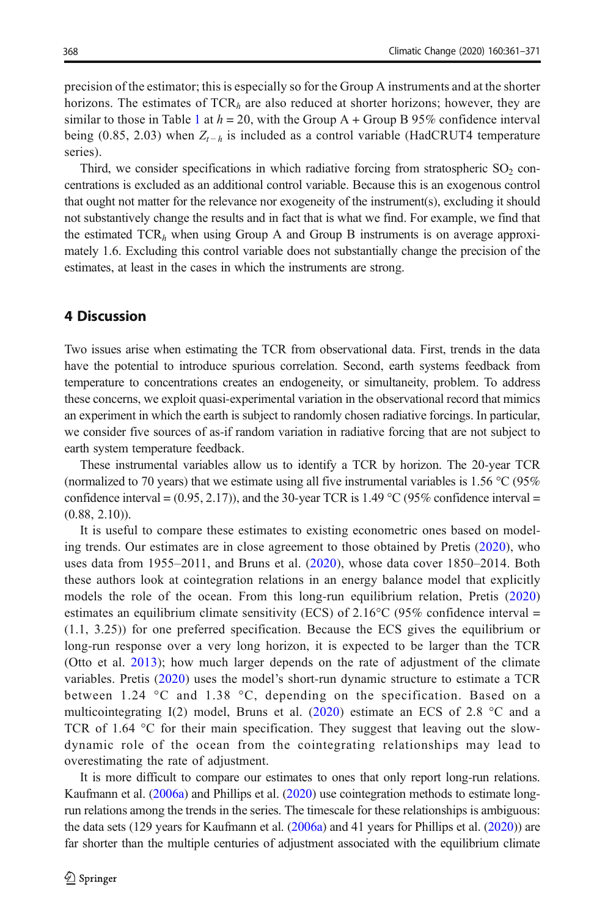precision of the estimator; this is especially so for the Group A instruments and at the shorter horizons. The estimates of  $TCR<sub>h</sub>$  are also reduced at shorter horizons; however, they are similar to those in Table [1](#page-6-0) at  $h = 20$ , with the Group A + Group B 95% confidence interval being (0.85, 2.03) when  $Z_{t-h}$  is included as a control variable (HadCRUT4 temperature series).

Third, we consider specifications in which radiative forcing from stratospheric  $SO_2$  concentrations is excluded as an additional control variable. Because this is an exogenous control that ought not matter for the relevance nor exogeneity of the instrument(s), excluding it should not substantively change the results and in fact that is what we find. For example, we find that the estimated  $TCR<sub>h</sub>$  when using Group A and Group B instruments is on average approximately 1.6. Excluding this control variable does not substantially change the precision of the estimates, at least in the cases in which the instruments are strong.

#### 4 Discussion

Two issues arise when estimating the TCR from observational data. First, trends in the data have the potential to introduce spurious correlation. Second, earth systems feedback from temperature to concentrations creates an endogeneity, or simultaneity, problem. To address these concerns, we exploit quasi-experimental variation in the observational record that mimics an experiment in which the earth is subject to randomly chosen radiative forcings. In particular, we consider five sources of as-if random variation in radiative forcing that are not subject to earth system temperature feedback.

These instrumental variables allow us to identify a TCR by horizon. The 20-year TCR (normalized to 70 years) that we estimate using all five instrumental variables is 1.56  $\degree$ C (95%) confidence interval =  $(0.95, 2.17)$ ), and the 30-year TCR is 1.49 °C (95% confidence interval = (0.88, 2.10)).

It is useful to compare these estimates to existing econometric ones based on modeling trends. Our estimates are in close agreement to those obtained by Pretis [\(2020\)](#page-9-0), who uses data from 1955–2011, and Bruns et al. [\(2020\)](#page-9-0), whose data cover 1850–2014. Both these authors look at cointegration relations in an energy balance model that explicitly models the role of the ocean. From this long-run equilibrium relation, Pretis [\(2020\)](#page-9-0) estimates an equilibrium climate sensitivity (ECS) of 2.16 $\degree$ C (95% confidence interval = (1.1, 3.25)) for one preferred specification. Because the ECS gives the equilibrium or long-run response over a very long horizon, it is expected to be larger than the TCR (Otto et al. [2013](#page-9-0)); how much larger depends on the rate of adjustment of the climate variables. Pretis [\(2020\)](#page-9-0) uses the model's short-run dynamic structure to estimate a TCR between 1.24 °C and 1.38 °C, depending on the specification. Based on a multicointegrating I(2) model, Bruns et al. ([2020\)](#page-9-0) estimate an ECS of 2.8 °C and a TCR of 1.64  $^{\circ}$ C for their main specification. They suggest that leaving out the slowdynamic role of the ocean from the cointegrating relationships may lead to overestimating the rate of adjustment.

It is more difficult to compare our estimates to ones that only report long-run relations. Kaufmann et al. [\(2006a\)](#page-9-0) and Phillips et al. [\(2020\)](#page-9-0) use cointegration methods to estimate longrun relations among the trends in the series. The timescale for these relationships is ambiguous: the data sets (129 years for Kaufmann et al. ([2006a](#page-9-0)) and 41 years for Phillips et al. ([2020](#page-9-0))) are far shorter than the multiple centuries of adjustment associated with the equilibrium climate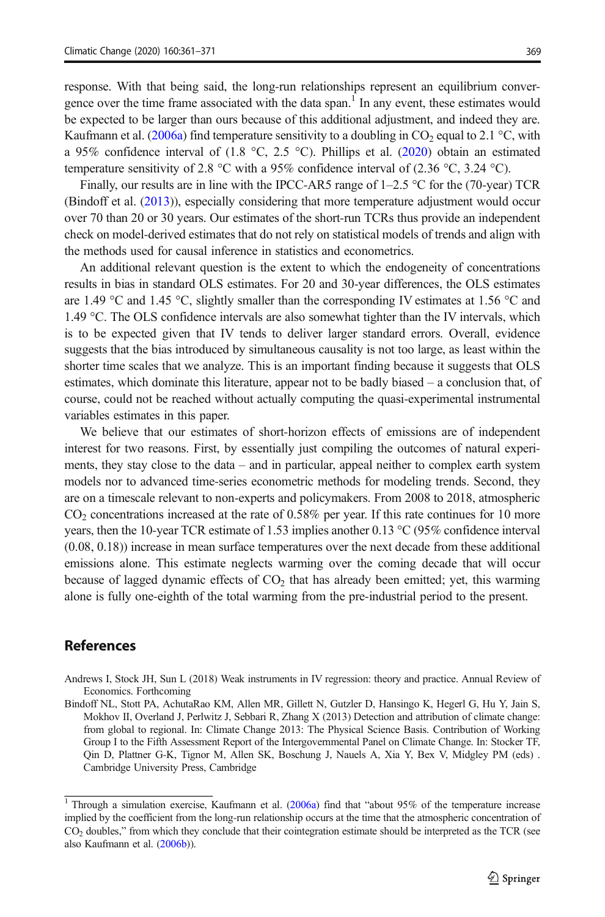<span id="page-8-0"></span>response. With that being said, the long-run relationships represent an equilibrium convergence over the time frame associated with the data span.<sup>1</sup> In any event, these estimates would be expected to be larger than ours because of this additional adjustment, and indeed they are. Kaufmann et al. [\(2006a\)](#page-9-0) find temperature sensitivity to a doubling in CO<sub>2</sub> equal to 2.1 °C, with a 95% confidence interval of  $(1.8 \text{ °C}, 2.5 \text{ °C})$ . Phillips et al.  $(2020)$  obtain an estimated temperature sensitivity of 2.8 °C with a 95% confidence interval of (2.36 °C, 3.24 °C).

Finally, our results are in line with the IPCC-AR5 range of  $1-2.5$  °C for the (70-year) TCR (Bindoff et al. (2013)), especially considering that more temperature adjustment would occur over 70 than 20 or 30 years. Our estimates of the short-run TCRs thus provide an independent check on model-derived estimates that do not rely on statistical models of trends and align with the methods used for causal inference in statistics and econometrics.

An additional relevant question is the extent to which the endogeneity of concentrations results in bias in standard OLS estimates. For 20 and 30-year differences, the OLS estimates are 1.49 °C and 1.45 °C, slightly smaller than the corresponding IV estimates at 1.56 °C and 1.49 °C. The OLS confidence intervals are also somewhat tighter than the IV intervals, which is to be expected given that IV tends to deliver larger standard errors. Overall, evidence suggests that the bias introduced by simultaneous causality is not too large, as least within the shorter time scales that we analyze. This is an important finding because it suggests that OLS estimates, which dominate this literature, appear not to be badly biased – a conclusion that, of course, could not be reached without actually computing the quasi-experimental instrumental variables estimates in this paper.

We believe that our estimates of short-horizon effects of emissions are of independent interest for two reasons. First, by essentially just compiling the outcomes of natural experiments, they stay close to the data – and in particular, appeal neither to complex earth system models nor to advanced time-series econometric methods for modeling trends. Second, they are on a timescale relevant to non-experts and policymakers. From 2008 to 2018, atmospheric  $CO<sub>2</sub>$  concentrations increased at the rate of 0.58% per year. If this rate continues for 10 more years, then the 10-year TCR estimate of 1.53 implies another 0.13 °C (95% confidence interval (0.08, 0.18)) increase in mean surface temperatures over the next decade from these additional emissions alone. This estimate neglects warming over the coming decade that will occur because of lagged dynamic effects of  $CO<sub>2</sub>$  that has already been emitted; yet, this warming alone is fully one-eighth of the total warming from the pre-industrial period to the present.

## **References**

- Andrews I, Stock JH, Sun L (2018) Weak instruments in IV regression: theory and practice. Annual Review of Economics. Forthcoming
- Bindoff NL, Stott PA, AchutaRao KM, Allen MR, Gillett N, Gutzler D, Hansingo K, Hegerl G, Hu Y, Jain S, Mokhov II, Overland J, Perlwitz J, Sebbari R, Zhang X (2013) Detection and attribution of climate change: from global to regional. In: Climate Change 2013: The Physical Science Basis. Contribution of Working Group I to the Fifth Assessment Report of the Intergovernmental Panel on Climate Change. In: Stocker TF, Qin D, Plattner G-K, Tignor M, Allen SK, Boschung J, Nauels A, Xia Y, Bex V, Midgley PM (eds) . Cambridge University Press, Cambridge

<sup>&</sup>lt;sup>1</sup> Through a simulation exercise, Kaufmann et al. ([2006a\)](#page-9-0) find that "about 95% of the temperature increase implied by the coefficient from the long-run relationship occurs at the time that the atmospheric concentration of CO<sub>2</sub> doubles," from which they conclude that their cointegration estimate should be interpreted as the TCR (see also Kaufmann et al. [\(2006b\)](#page-9-0)).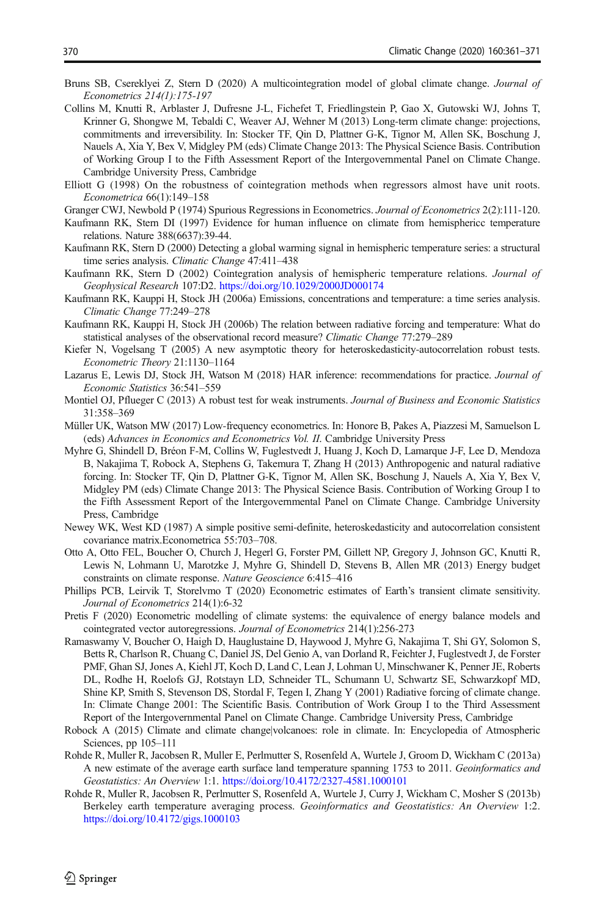- <span id="page-9-0"></span>Bruns SB, Csereklyei Z, Stern D (2020) A multicointegration model of global climate change. Journal of Econometrics 214(1):175-197
- Collins M, Knutti R, Arblaster J, Dufresne J-L, Fichefet T, Friedlingstein P, Gao X, Gutowski WJ, Johns T, Krinner G, Shongwe M, Tebaldi C, Weaver AJ, Wehner M (2013) Long-term climate change: projections, commitments and irreversibility. In: Stocker TF, Qin D, Plattner G-K, Tignor M, Allen SK, Boschung J, Nauels A, Xia Y, Bex V, Midgley PM (eds) Climate Change 2013: The Physical Science Basis. Contribution of Working Group I to the Fifth Assessment Report of the Intergovernmental Panel on Climate Change. Cambridge University Press, Cambridge
- Elliott G (1998) On the robustness of cointegration methods when regressors almost have unit roots. Econometrica 66(1):149–158
- Granger CWJ, Newbold P (1974) Spurious Regressions in Econometrics. Journal of Econometrics 2(2):111-120.
- Kaufmann RK, Stern DI (1997) Evidence for human influence on climate from hemisphericc temperature relations. Nature 388(6637):39-44.
- Kaufmann RK, Stern D (2000) Detecting a global warming signal in hemispheric temperature series: a structural time series analysis. Climatic Change 47:411–438
- Kaufmann RK, Stern D (2002) Cointegration analysis of hemispheric temperature relations. Journal of Geophysical Research 107:D2. <https://doi.org/10.1029/2000JD000174>
- Kaufmann RK, Kauppi H, Stock JH (2006a) Emissions, concentrations and temperature: a time series analysis. Climatic Change 77:249–278
- Kaufmann RK, Kauppi H, Stock JH (2006b) The relation between radiative forcing and temperature: What do statistical analyses of the observational record measure? Climatic Change 77:279–289
- Kiefer N, Vogelsang T (2005) A new asymptotic theory for heteroskedasticity-autocorrelation robust tests. Econometric Theory 21:1130–1164
- Lazarus E, Lewis DJ, Stock JH, Watson M (2018) HAR inference: recommendations for practice. *Journal of* Economic Statistics 36:541–559
- Montiel OJ, Pflueger C (2013) A robust test for weak instruments. Journal of Business and Economic Statistics 31:358–369
- Müller UK, Watson MW (2017) Low-frequency econometrics. In: Honore B, Pakes A, Piazzesi M, Samuelson L (eds) Advances in Economics and Econometrics Vol. II. Cambridge University Press
- Myhre G, Shindell D, Bréon F-M, Collins W, Fuglestvedt J, Huang J, Koch D, Lamarque J-F, Lee D, Mendoza B, Nakajima T, Robock A, Stephens G, Takemura T, Zhang H (2013) Anthropogenic and natural radiative forcing. In: Stocker TF, Qin D, Plattner G-K, Tignor M, Allen SK, Boschung J, Nauels A, Xia Y, Bex V, Midgley PM (eds) Climate Change 2013: The Physical Science Basis. Contribution of Working Group I to the Fifth Assessment Report of the Intergovernmental Panel on Climate Change. Cambridge University Press, Cambridge
- Newey WK, West KD (1987) A simple positive semi-definite, heteroskedasticity and autocorrelation consistent covariance matrix.Econometrica 55:703–708.
- Otto A, Otto FEL, Boucher O, Church J, Hegerl G, Forster PM, Gillett NP, Gregory J, Johnson GC, Knutti R, Lewis N, Lohmann U, Marotzke J, Myhre G, Shindell D, Stevens B, Allen MR (2013) Energy budget constraints on climate response. Nature Geoscience 6:415–416
- Phillips PCB, Leirvik T, Storelvmo T (2020) Econometric estimates of Earth's transient climate sensitivity. Journal of Econometrics 214(1):6-32
- Pretis F (2020) Econometric modelling of climate systems: the equivalence of energy balance models and cointegrated vector autoregressions. Journal of Econometrics 214(1):256-273
- Ramaswamy V, Boucher O, Haigh D, Hauglustaine D, Haywood J, Myhre G, Nakajima T, Shi GY, Solomon S, Betts R, Charlson R, Chuang C, Daniel JS, Del Genio A, van Dorland R, Feichter J, Fuglestvedt J, de Forster PMF, Ghan SJ, Jones A, Kiehl JT, Koch D, Land C, Lean J, Lohman U, Minschwaner K, Penner JE, Roberts DL, Rodhe H, Roelofs GJ, Rotstayn LD, Schneider TL, Schumann U, Schwartz SE, Schwarzkopf MD, Shine KP, Smith S, Stevenson DS, Stordal F, Tegen I, Zhang Y (2001) Radiative forcing of climate change. In: Climate Change 2001: The Scientific Basis. Contribution of Work Group I to the Third Assessment Report of the Intergovernmental Panel on Climate Change. Cambridge University Press, Cambridge
- Robock A (2015) Climate and climate change|volcanoes: role in climate. In: Encyclopedia of Atmospheric Sciences, pp 105–111
- Rohde R, Muller R, Jacobsen R, Muller E, Perlmutter S, Rosenfeld A, Wurtele J, Groom D, Wickham C (2013a) A new estimate of the average earth surface land temperature spanning 1753 to 2011. Geoinformatics and Geostatistics: An Overview 1:1. <https://doi.org/10.4172/2327-4581.1000101>
- Rohde R, Muller R, Jacobsen R, Perlmutter S, Rosenfeld A, Wurtele J, Curry J, Wickham C, Mosher S (2013b) Berkeley earth temperature averaging process. Geoinformatics and Geostatistics: An Overview 1:2. <https://doi.org/10.4172/gigs.1000103>